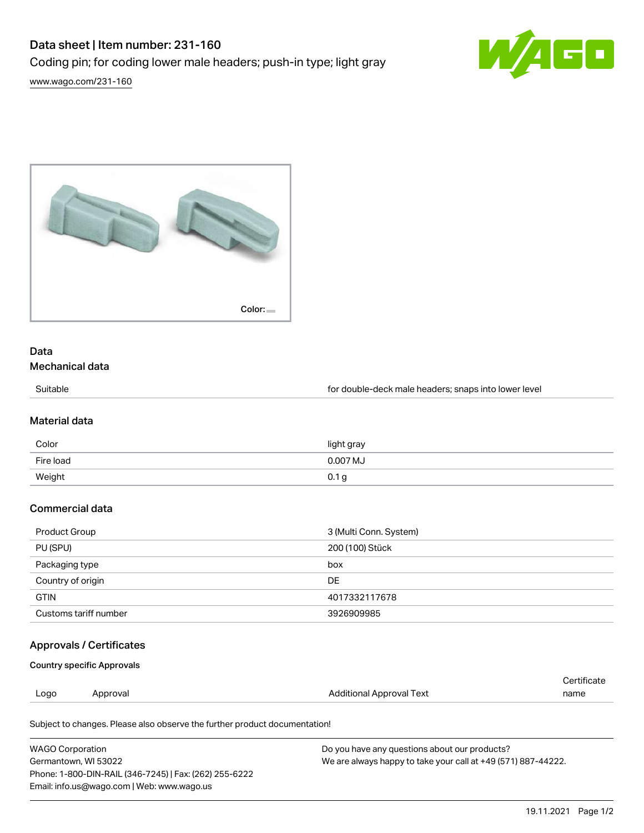# Data sheet | Item number: 231-160

Coding pin; for coding lower male headers; push-in type; light gray

[www.wago.com/231-160](http://www.wago.com/231-160)





# Data

# Mechanical data

Suitable **Suitable for double-deck male headers**; snaps into lower level

#### Material data

| Color     | light gray |
|-----------|------------|
| Fire load | 0.007 MJ   |
| Weight    | 0.1 g      |

## Commercial data

| Product Group         | 3 (Multi Conn. System) |
|-----------------------|------------------------|
| PU (SPU)              | 200 (100) Stück        |
| Packaging type        | box                    |
| Country of origin     | DE                     |
| <b>GTIN</b>           | 4017332117678          |
| Customs tariff number | 3926909985             |

### Approvals / Certificates

Country specific Approvals

| Logo | ∩roval | ' Approval Text<br>. | name<br>$\sim$ $\sim$ |
|------|--------|----------------------|-----------------------|
|      |        |                      | ם שנתפ                |

Subject to changes. Please also observe the further product documentation!

| <b>WAGO Corporation</b>                                | Do you have any questions about our products?                 |
|--------------------------------------------------------|---------------------------------------------------------------|
| Germantown, WI 53022                                   | We are always happy to take your call at +49 (571) 887-44222. |
| Phone: 1-800-DIN-RAIL (346-7245)   Fax: (262) 255-6222 |                                                               |
| Email: info.us@wago.com   Web: www.wago.us             |                                                               |

Cortificate